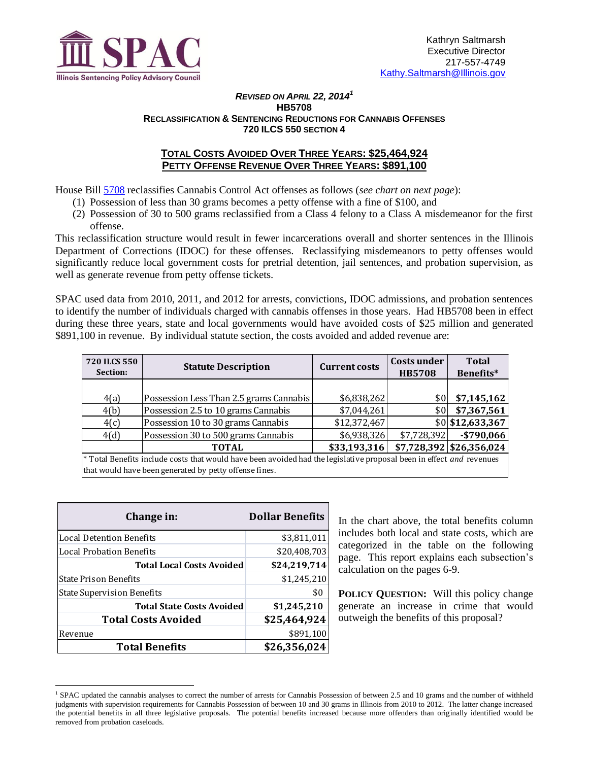

#### *REVISED ON APRIL 22, 2014<sup>1</sup>* **HB5708 RECLASSIFICATION & SENTENCING REDUCTIONS FOR CANNABIS OFFENSES 720 ILCS 550 SECTION 4**

## **TOTAL COSTS AVOIDED OVER THREE YEARS: \$25,464,924 PETTY OFFENSE REVENUE OVER THREE YEARS: \$891,100**

House Bill [5708](http://ilga.gov/legislation/fulltext.asp?DocName=&SessionId=85&GA=98&DocTypeId=HB&DocNum=5708&GAID=12&LegID=80937&SpecSess=&Session=) reclassifies Cannabis Control Act offenses as follows (*see chart on next page*):

- (1) Possession of less than 30 grams becomes a petty offense with a fine of \$100, and
- (2) Possession of 30 to 500 grams reclassified from a Class 4 felony to a Class A misdemeanor for the first offense.

This reclassification structure would result in fewer incarcerations overall and shorter sentences in the Illinois Department of Corrections (IDOC) for these offenses. Reclassifying misdemeanors to petty offenses would significantly reduce local government costs for pretrial detention, jail sentences, and probation supervision, as well as generate revenue from petty offense tickets.

SPAC used data from 2010, 2011, and 2012 for arrests, convictions, IDOC admissions, and probation sentences to identify the number of individuals charged with cannabis offenses in those years. Had HB5708 been in effect during these three years, state and local governments would have avoided costs of \$25 million and generated \$891,100 in revenue. By individual statute section, the costs avoided and added revenue are:

| <b>720 ILCS 550</b><br>Section:                                                                                      | <b>Statute Description</b>                             | <b>Current costs</b> | Costs under<br><b>HB5708</b> | Total<br>Benefits*         |  |  |
|----------------------------------------------------------------------------------------------------------------------|--------------------------------------------------------|----------------------|------------------------------|----------------------------|--|--|
|                                                                                                                      |                                                        |                      |                              |                            |  |  |
| 4(a)                                                                                                                 | Possession Less Than 2.5 grams Cannabis                | \$6,838,262          | \$0                          | \$7,145,162                |  |  |
| 4(b)                                                                                                                 | Possession 2.5 to 10 grams Cannabis                    | \$7,044,261          | \$0                          | \$7,367,561                |  |  |
| 4(c)                                                                                                                 | Possession 10 to 30 grams Cannabis                     | \$12,372,467         |                              | \$0 \$12,633,367           |  |  |
| 4(d)                                                                                                                 | Possession 30 to 500 grams Cannabis                    | \$6,938,326          | \$7,728,392                  | $-$ \$790,066              |  |  |
|                                                                                                                      | <b>TOTAL</b>                                           | \$33,193,316         |                              | $$7,728,392$ \\$26,356,024 |  |  |
| * Total Benefits include costs that would have been avoided had the legislative proposal been in effect and revenues |                                                        |                      |                              |                            |  |  |
|                                                                                                                      | that would have been generated by petty offense fines. |                      |                              |                            |  |  |

| Change in:                        | <b>Dollar Benefits</b> |
|-----------------------------------|------------------------|
| <b>Local Detention Benefits</b>   | \$3,811,011            |
| <b>Local Probation Benefits</b>   | \$20,408,703           |
| <b>Total Local Costs Avoided</b>  | \$24,219,714           |
| <b>State Prison Benefits</b>      | \$1,245,210            |
| <b>State Supervision Benefits</b> | \$0                    |
| <b>Total State Costs Avoided</b>  | \$1,245,210            |
| <b>Total Costs Avoided</b>        | \$25,464,924           |
| Revenue                           | \$891,100              |
| <b>Total Benefits</b>             | \$26,356,024           |

 $\overline{a}$ 

In the chart above, the total benefits column includes both local and state costs, which are categorized in the table on the following page. This report explains each subsection's calculation on the pages 6-9.

**POLICY QUESTION:** Will this policy change generate an increase in crime that would outweigh the benefits of this proposal?

<sup>&</sup>lt;sup>1</sup> SPAC updated the cannabis analyses to correct the number of arrests for Cannabis Possession of between 2.5 and 10 grams and the number of withheld judgments with supervision requirements for Cannabis Possession of between 10 and 30 grams in Illinois from 2010 to 2012. The latter change increased the potential benefits in all three legislative proposals. The potential benefits increased because more offenders than originally identified would be removed from probation caseloads.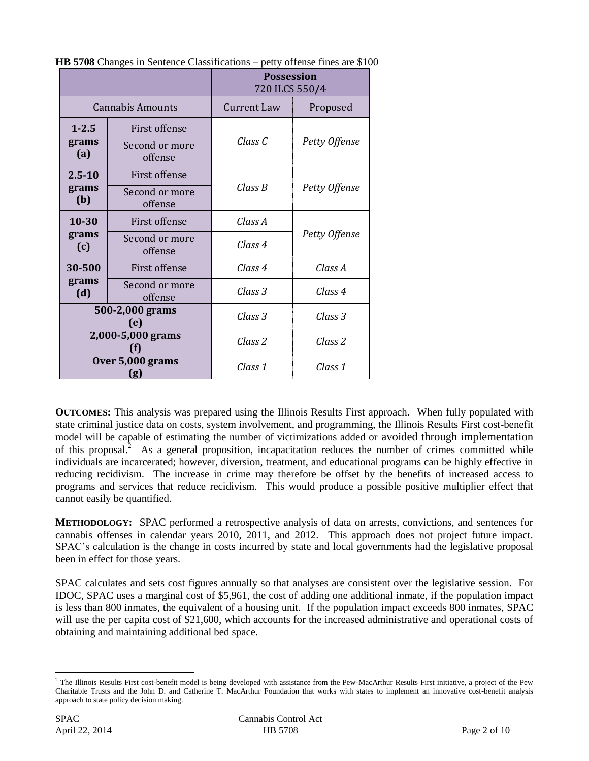|                        |                                 | <b>Possession</b><br>720 ILCS 550/4 |               |  |
|------------------------|---------------------------------|-------------------------------------|---------------|--|
|                        | <b>Cannabis Amounts</b>         | Current Law                         | Proposed      |  |
| $1 - 2.5$<br>grams     | First offense<br>Second or more | Class C                             | Petty Offense |  |
| (a)<br>$2.5 - 10$      | offense<br>First offense        | Class B                             |               |  |
| grams<br>(b)           | Second or more<br>offense       |                                     | Petty Offense |  |
| $10 - 30$              | First offense                   | Class A                             |               |  |
| grams<br>(c)           | Second or more<br>offense       | Class 4                             | Petty Offense |  |
| 30-500                 | <b>First offense</b>            | Class 4                             | Class A       |  |
| grams<br>(d)           | Second or more<br>offense       | Class 3                             | Class 4       |  |
| 500-2,000 grams<br>(e) |                                 | Class 3                             | Class 3       |  |
| 2,000-5,000 grams      |                                 | Class 2                             | Class 2       |  |
|                        | Over 5,000 grams<br>(g)         | Class 1                             | Class 1       |  |

**HB 5708** Changes in Sentence Classifications – petty offense fines are \$100

**OUTCOMES:** This analysis was prepared using the Illinois Results First approach. When fully populated with state criminal justice data on costs, system involvement, and programming, the Illinois Results First cost-benefit model will be capable of estimating the number of victimizations added or avoided through implementation of this proposal.<sup>2</sup> As a general proposition, incapacitation reduces the number of crimes committed while individuals are incarcerated; however, diversion, treatment, and educational programs can be highly effective in reducing recidivism. The increase in crime may therefore be offset by the benefits of increased access to programs and services that reduce recidivism. This would produce a possible positive multiplier effect that cannot easily be quantified.

**METHODOLOGY:** SPAC performed a retrospective analysis of data on arrests, convictions, and sentences for cannabis offenses in calendar years 2010, 2011, and 2012. This approach does not project future impact. SPAC's calculation is the change in costs incurred by state and local governments had the legislative proposal been in effect for those years.

SPAC calculates and sets cost figures annually so that analyses are consistent over the legislative session. For IDOC, SPAC uses a marginal cost of \$5,961, the cost of adding one additional inmate, if the population impact is less than 800 inmates, the equivalent of a housing unit. If the population impact exceeds 800 inmates, SPAC will use the per capita cost of \$21,600, which accounts for the increased administrative and operational costs of obtaining and maintaining additional bed space.

 $\overline{a}$ 

<sup>&</sup>lt;sup>2</sup> The Illinois Results First cost-benefit model is being developed with assistance from the Pew-MacArthur Results First initiative, a project of the Pew Charitable Trusts and the John D. and Catherine T. MacArthur Foundation that works with states to implement an innovative cost-benefit analysis approach to state policy decision making.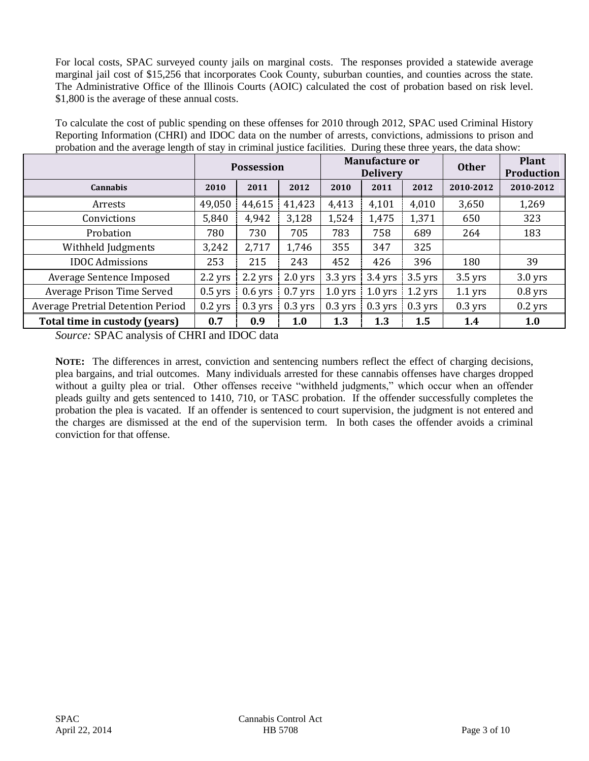For local costs, SPAC surveyed county jails on marginal costs. The responses provided a statewide average marginal jail cost of \$15,256 that incorporates Cook County, suburban counties, and counties across the state. The Administrative Office of the Illinois Courts (AOIC) calculated the cost of probation based on risk level. \$1,800 is the average of these annual costs.

To calculate the cost of public spending on these offenses for 2010 through 2012, SPAC used Criminal History Reporting Information (CHRI) and IDOC data on the number of arrests, convictions, admissions to prison and probation and the average length of stay in criminal justice facilities. During these three years, the data show:

|                                          | <b>Possession</b> |           |           | <b>Manufacture or</b><br><b>Delivery</b> |           |           | <b>Other</b> | <b>Plant</b><br><b>Production</b> |
|------------------------------------------|-------------------|-----------|-----------|------------------------------------------|-----------|-----------|--------------|-----------------------------------|
| <b>Cannabis</b>                          | 2010              | 2011      | 2012      | 2010                                     | 2011      | 2012      | 2010-2012    | 2010-2012                         |
| Arrests                                  | 49,050            | 44,615    | 41,423    | 4,413                                    | 4,101     | 4,010     | 3,650        | 1,269                             |
| Convictions                              | 5,840             | 4,942     | 3,128     | 1,524                                    | 1,475     | 1,371     | 650          | 323                               |
| Probation                                | 780               | 730       | 705       | 783                                      | 758       | 689       | 264          | 183                               |
| Withheld Judgments                       | 3,242             | 2,717     | 1,746     | 355                                      | 347       | 325       |              |                                   |
| <b>IDOC</b> Admissions                   | 253               | 215       | 243       | 452                                      | 426       | 396       | 180          | 39                                |
| Average Sentence Imposed                 | $2.2$ yrs         | $2.2$ yrs | $2.0$ yrs | $3.3$ yrs                                | $3.4$ yrs | $3.5$ yrs | $3.5$ yrs    | $3.0$ yrs                         |
| Average Prison Time Served               | $0.5$ yrs         | $0.6$ yrs | $0.7$ yrs | $1.0$ yrs                                | $1.0$ yrs | $1.2$ yrs | $1.1$ yrs    | $0.8$ yrs                         |
| <b>Average Pretrial Detention Period</b> | $0.2$ yrs         | $0.3$ yrs | $0.3$ yrs | $0.3$ yrs                                | $0.3$ yrs | $0.3$ yrs | $0.3$ yrs    | $0.2$ yrs                         |
| Total time in custody (years)            | 0.7               | 0.9       | 1.0       | 1.3                                      | 1.3       | 1.5       | 1.4          | 1.0                               |

*Source:* SPAC analysis of CHRI and IDOC data

**NOTE:** The differences in arrest, conviction and sentencing numbers reflect the effect of charging decisions, plea bargains, and trial outcomes. Many individuals arrested for these cannabis offenses have charges dropped without a guilty plea or trial. Other offenses receive "withheld judgments," which occur when an offender pleads guilty and gets sentenced to 1410, 710, or TASC probation. If the offender successfully completes the probation the plea is vacated. If an offender is sentenced to court supervision, the judgment is not entered and the charges are dismissed at the end of the supervision term. In both cases the offender avoids a criminal conviction for that offense.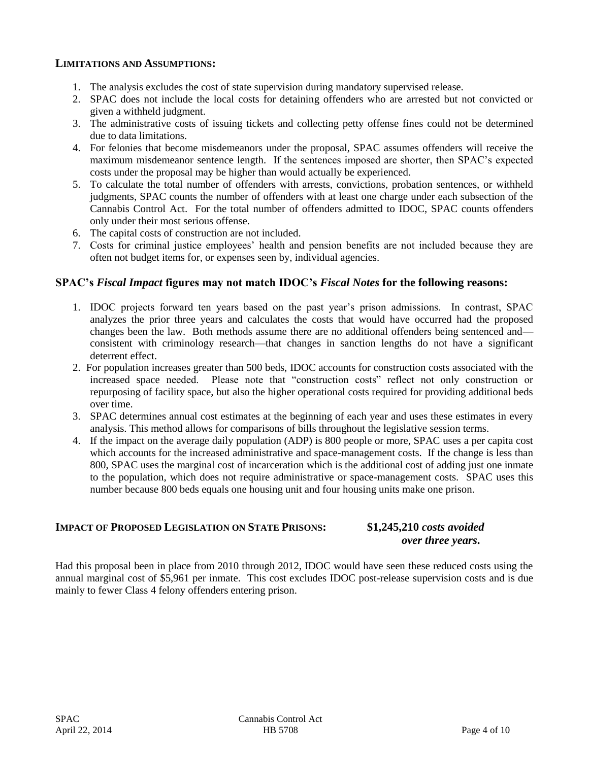### **LIMITATIONS AND ASSUMPTIONS:**

- 1. The analysis excludes the cost of state supervision during mandatory supervised release.
- 2. SPAC does not include the local costs for detaining offenders who are arrested but not convicted or given a withheld judgment.
- 3. The administrative costs of issuing tickets and collecting petty offense fines could not be determined due to data limitations.
- 4. For felonies that become misdemeanors under the proposal, SPAC assumes offenders will receive the maximum misdemeanor sentence length. If the sentences imposed are shorter, then SPAC's expected costs under the proposal may be higher than would actually be experienced.
- 5. To calculate the total number of offenders with arrests, convictions, probation sentences, or withheld judgments, SPAC counts the number of offenders with at least one charge under each subsection of the Cannabis Control Act. For the total number of offenders admitted to IDOC, SPAC counts offenders only under their most serious offense.
- 6. The capital costs of construction are not included.
- 7. Costs for criminal justice employees' health and pension benefits are not included because they are often not budget items for, or expenses seen by, individual agencies.

## **SPAC's** *Fiscal Impact* **figures may not match IDOC's** *Fiscal Notes* **for the following reasons:**

- 1. IDOC projects forward ten years based on the past year's prison admissions. In contrast, SPAC analyzes the prior three years and calculates the costs that would have occurred had the proposed changes been the law. Both methods assume there are no additional offenders being sentenced and consistent with criminology research—that changes in sanction lengths do not have a significant deterrent effect.
- 2. For population increases greater than 500 beds, IDOC accounts for construction costs associated with the increased space needed. Please note that "construction costs" reflect not only construction or repurposing of facility space, but also the higher operational costs required for providing additional beds over time.
- 3. SPAC determines annual cost estimates at the beginning of each year and uses these estimates in every analysis. This method allows for comparisons of bills throughout the legislative session terms.
- 4. If the impact on the average daily population (ADP) is 800 people or more, SPAC uses a per capita cost which accounts for the increased administrative and space-management costs. If the change is less than 800, SPAC uses the marginal cost of incarceration which is the additional cost of adding just one inmate to the population, which does not require administrative or space-management costs. SPAC uses this number because 800 beds equals one housing unit and four housing units make one prison.

## **IMPACT OF PROPOSED LEGISLATION ON STATE PRISONS: \$1,245,210** *costs avoided*

## *over three years***.**

Had this proposal been in place from 2010 through 2012, IDOC would have seen these reduced costs using the annual marginal cost of \$5,961 per inmate. This cost excludes IDOC post-release supervision costs and is due mainly to fewer Class 4 felony offenders entering prison.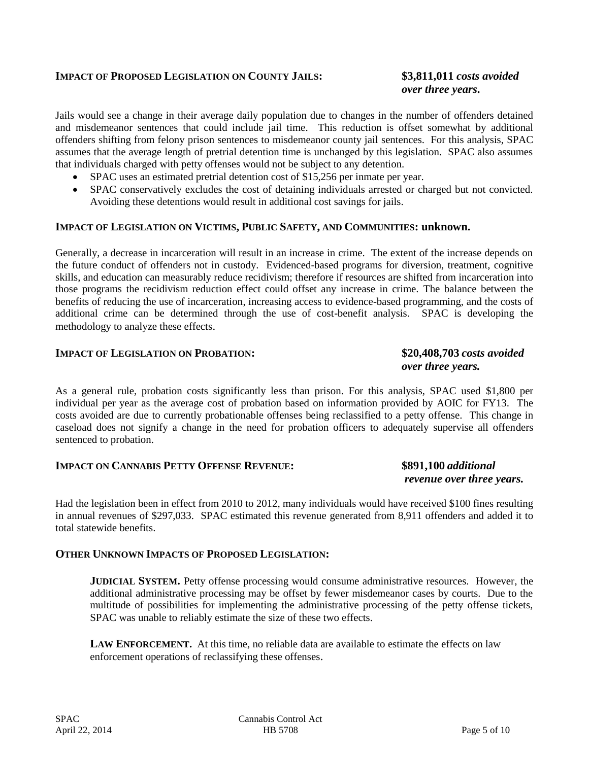## **IMPACT OF PROPOSED LEGISLATION ON COUNTY JAILS: \$3,811,011** *costs avoided*

# *over three years***.**

Jails would see a change in their average daily population due to changes in the number of offenders detained and misdemeanor sentences that could include jail time. This reduction is offset somewhat by additional offenders shifting from felony prison sentences to misdemeanor county jail sentences. For this analysis, SPAC assumes that the average length of pretrial detention time is unchanged by this legislation. SPAC also assumes that individuals charged with petty offenses would not be subject to any detention.

- SPAC uses an estimated pretrial detention cost of \$15,256 per inmate per year.
- SPAC conservatively excludes the cost of detaining individuals arrested or charged but not convicted. Avoiding these detentions would result in additional cost savings for jails.

### **IMPACT OF LEGISLATION ON VICTIMS, PUBLIC SAFETY, AND COMMUNITIES: unknown.**

Generally, a decrease in incarceration will result in an increase in crime. The extent of the increase depends on the future conduct of offenders not in custody. Evidenced-based programs for diversion, treatment, cognitive skills, and education can measurably reduce recidivism; therefore if resources are shifted from incarceration into those programs the recidivism reduction effect could offset any increase in crime. The balance between the benefits of reducing the use of incarceration, increasing access to evidence-based programming, and the costs of additional crime can be determined through the use of cost-benefit analysis. SPAC is developing the methodology to analyze these effects.

#### **IMPACT OF LEGISLATION ON PROBATION: \$20,408,703** *costs avoided*

# *over three years.*

As a general rule, probation costs significantly less than prison. For this analysis, SPAC used \$1,800 per individual per year as the average cost of probation based on information provided by AOIC for FY13. The costs avoided are due to currently probationable offenses being reclassified to a petty offense. This change in caseload does not signify a change in the need for probation officers to adequately supervise all offenders sentenced to probation.

## **IMPACT ON CANNABIS PETTY OFFENSE REVENUE: \$891,100** *additional*

# *revenue over three years.*

Had the legislation been in effect from 2010 to 2012, many individuals would have received \$100 fines resulting in annual revenues of \$297,033. SPAC estimated this revenue generated from 8,911 offenders and added it to total statewide benefits.

### **OTHER UNKNOWN IMPACTS OF PROPOSED LEGISLATION:**

**JUDICIAL SYSTEM.** Petty offense processing would consume administrative resources. However, the additional administrative processing may be offset by fewer misdemeanor cases by courts. Due to the multitude of possibilities for implementing the administrative processing of the petty offense tickets, SPAC was unable to reliably estimate the size of these two effects.

**LAW ENFORCEMENT.** At this time, no reliable data are available to estimate the effects on law enforcement operations of reclassifying these offenses.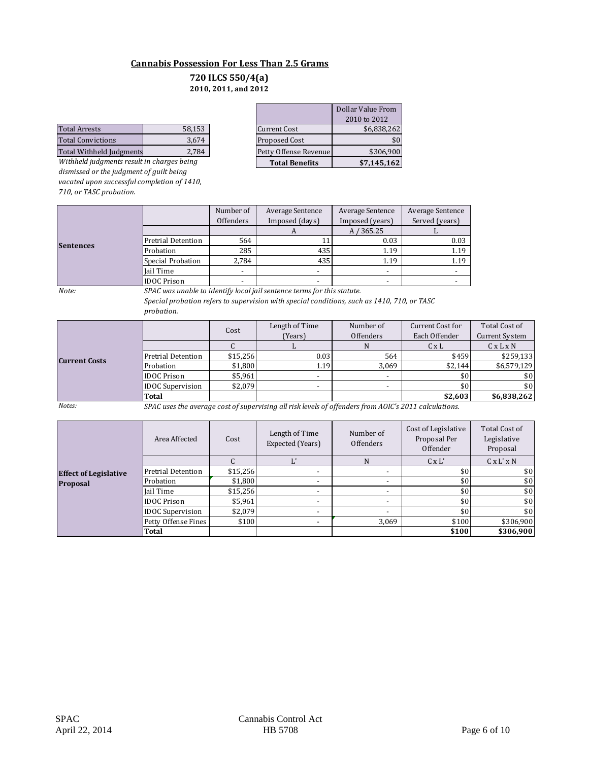### **Cannabis Possession For Less Than 2.5 Grams**

#### **2010, 2011, and 2012 720 ILCS 550/4(a)**

|                          |        |                       | 1010W1011   |
|--------------------------|--------|-----------------------|-------------|
| <b>Total Arrests</b>     | 58.153 | <b>Current Cost</b>   | \$6.838.262 |
| Total Convictions        | 3.674  | Proposed Cost         | \$0         |
| Total Withheld Judgments | 2.784  | Petty Offense Revenue | \$306.900   |
|                          |        |                       |             |

*Withheld judgments result in charges being dismissed or the judgment of guilt being vacated upon successful completion of 1410, 710, or TASC probation.*

|                                            |        | $-0.101 - 0.11$ , which $-0.11$ |                       |                   |
|--------------------------------------------|--------|---------------------------------|-----------------------|-------------------|
|                                            |        |                                 |                       | Dollar Value From |
|                                            |        |                                 |                       | 2010 to 2012      |
| Total Arrests                              | 58,153 |                                 | <b>Current Cost</b>   | \$6,838,262       |
| <b>Total Convictions</b>                   | 3,674  |                                 | Proposed Cost         | \$0               |
| Total Withheld Judgments                   | 2,784  |                                 | Petty Offense Revenue | \$306,900         |
| Withheld judgments result in charges being |        |                                 | <b>Total Benefits</b> | \$7,145,162       |

|                  |                    | Number of<br>Average Sentence |                | Average Sentence | Average Sentence |
|------------------|--------------------|-------------------------------|----------------|------------------|------------------|
|                  |                    | Offenders                     | Imposed (days) | Imposed (years)  | Served (years)   |
|                  |                    |                               | л              | A / 365.25       |                  |
| <b>Sentences</b> | Pretrial Detention | 564                           |                | 0.03             | 0.03             |
|                  | Probation          | 285                           | 435            | 1.19             | 1.19             |
|                  | Special Probation  | 2,784                         | 435            | 1.19             | 1.19             |
|                  | Jail Time          | $\blacksquare$                |                |                  |                  |
|                  | <b>IDOC</b> Prison |                               |                |                  |                  |

*Note:*

*SPAC was unable to identify local jail sentence terms for this statute. Special probation refers to supervision with special conditions, such as 1410, 710, or TASC probation.* 

|                      |                         | Cost     | Length of Time | Number of        | Current Cost for | Total Cost of         |
|----------------------|-------------------------|----------|----------------|------------------|------------------|-----------------------|
|                      |                         |          | (Years)        | <b>Offenders</b> | Each Offender    | <b>Current System</b> |
|                      |                         |          |                | N                | $C \times L$     | $C \times L \times N$ |
|                      | Pretrial Detention      | \$15,256 | 0.03           | 564              | \$459            | \$259,133             |
| <b>Current Costs</b> | Probation               | \$1,800  | 1.19           | 3.069            | \$2.144          | \$6,579,129           |
|                      | <b>IDOC</b> Prison      | \$5,961  |                |                  | \$0              | \$0                   |
|                      | <b>IDOC</b> Supervision | \$2,079  |                | $\sim$           | \$0              | \$0                   |
|                      | Total                   |          |                |                  | \$2,603          | \$6,838,262           |

*Notes: SPAC uses the average cost of supervising all risk levels of offenders from AOIC's 2011 calculations.*

|                              | Area Affected           | Cost     | Length of Time<br>Expected (Years) | Number of<br>Offenders   | Cost of Legislative<br>Proposal Per<br>Offender | <b>Total Cost of</b><br>Legislative<br>Proposal |
|------------------------------|-------------------------|----------|------------------------------------|--------------------------|-------------------------------------------------|-------------------------------------------------|
|                              |                         |          |                                    | N                        | $C \times L'$                                   | $C \times L' \times N$                          |
| <b>Effect of Legislative</b> | Pretrial Detention      | \$15,256 |                                    |                          | \$0                                             | \$0                                             |
| <b>Proposal</b>              | Probation               | \$1,800  |                                    | $\overline{\phantom{a}}$ | \$0                                             | \$0                                             |
|                              | Jail Time               | \$15,256 |                                    | $\overline{\phantom{a}}$ | \$0                                             | \$0                                             |
|                              | <b>IDOC</b> Prison      | \$5,961  | $\overline{\phantom{a}}$           | $\overline{\phantom{a}}$ | \$0                                             | \$0                                             |
|                              | <b>IDOC</b> Supervision | \$2,079  | $\overline{\phantom{a}}$           | $\overline{\phantom{a}}$ | \$0                                             | \$0                                             |
|                              | Petty Offense Fines     | \$100    |                                    | 3.069                    | \$100                                           | \$306,900                                       |
|                              | Total                   |          |                                    |                          | \$100                                           | \$306,900                                       |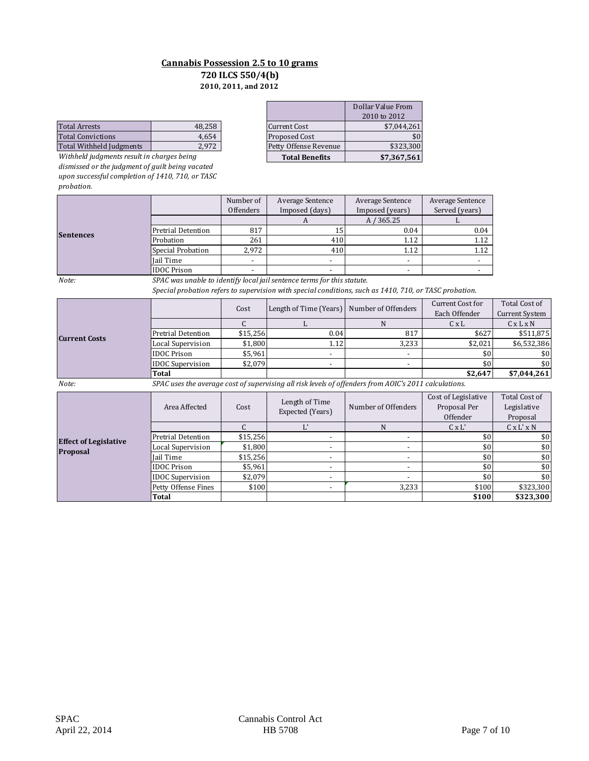#### **Cannabis Possession 2.5 to 10 grams 2010, 2011, and 2012 720 ILCS 550/4(b)**

|                          |        |                       | 1010W1011   |
|--------------------------|--------|-----------------------|-------------|
| <b>Total Arrests</b>     | 48.258 | Current Cost          | \$7.044.261 |
| <b>Total Convictions</b> | 4.654  | <b>Proposed Cost</b>  | \$0         |
| Total Withheld Judgments | 2.972  | Petty Offense Revenue | \$323.300   |
|                          |        |                       |             |

*Withheld judgments result in charges being dismissed or the judgment of guilt being vacated upon successful completion of 1410, 710, or TASC probation.*

| 2010, 2011, and 2012                       |        |  |                       |                   |  |  |
|--------------------------------------------|--------|--|-----------------------|-------------------|--|--|
|                                            |        |  |                       | Dollar Value From |  |  |
|                                            |        |  |                       | 2010 to 2012      |  |  |
| <b>Total Arrests</b>                       | 48,258 |  | <b>Current Cost</b>   | \$7,044,261       |  |  |
| <b>Total Convictions</b>                   | 4,654  |  | Proposed Cost         | \$0               |  |  |
| Total Withheld Judgments                   | 2,972  |  | Petty Offense Revenue | \$323,300         |  |  |
| Withheld judgments result in charges being |        |  | <b>Total Benefits</b> | \$7,367,561       |  |  |

|                  | Number of          |                          | Average Sentence | Average Sentence | Average Sentence |
|------------------|--------------------|--------------------------|------------------|------------------|------------------|
|                  |                    | Offenders                | Imposed (days)   | Imposed (years)  | Served (years)   |
|                  |                    |                          |                  | A / 365.25       |                  |
|                  | Pretrial Detention | 817                      | 15               | 0.04             | 0.04             |
| <b>Sentences</b> | Probation          | 261                      | 410              | 1.12             | 1.12             |
|                  | Special Probation  | 2.972                    | 410              | 1.12             | 1.12             |
|                  | Iail Time          | $\blacksquare$           |                  |                  |                  |
|                  | <b>IDOC</b> Prison | $\overline{\phantom{0}}$ |                  |                  |                  |

*Note:*

*SPAC was unable to identify local jail sentence terms for this statute.*

*Special probation refers to supervision with special conditions, such as 1410, 710, or TASC probation.* 

|                      |                         | Cost     | Length of Time (Years) Number of Offenders |       | Current Cost for | Total Cost of         |
|----------------------|-------------------------|----------|--------------------------------------------|-------|------------------|-----------------------|
|                      |                         |          |                                            |       | Each Offender    | <b>Current System</b> |
|                      |                         |          |                                            |       | $C \times L$     | CxLxN                 |
| <b>Current Costs</b> | Pretrial Detention      | \$15,256 | 0.04                                       | 817   | \$627            | \$511,875             |
|                      | Local Supervision       | \$1,800  | 1.12                                       | 3,233 | \$2,021          | \$6,532,386           |
|                      | <b>IDOC</b> Prison      | \$5,961  |                                            |       | \$0              | \$0                   |
|                      | <b>IDOC</b> Supervision | \$2,079  |                                            |       | \$0              | \$0                   |
|                      | Total                   |          |                                            |       | \$2,647          | \$7,044,261           |

*Note: SPAC uses the average cost of supervising all risk levels of offenders from AOIC's 2011 calculations.*

| ,,,,,,<br><u>Di no abob dhe average eost of sapervishig all'holterelo of offenacio from noto 5 Boxx calcalations.</u> |                         |          |                                    |                          |                                                 |                                          |  |
|-----------------------------------------------------------------------------------------------------------------------|-------------------------|----------|------------------------------------|--------------------------|-------------------------------------------------|------------------------------------------|--|
|                                                                                                                       | Area Affected           | Cost     | Length of Time<br>Expected (Years) | Number of Offenders      | Cost of Legislative<br>Proposal Per<br>Offender | Total Cost of<br>Legislative<br>Proposal |  |
|                                                                                                                       |                         |          |                                    |                          | $C \times L'$                                   | $C \times L' \times N$                   |  |
| <b>Effect of Legislative</b>                                                                                          | Pretrial Detention      | \$15,256 |                                    |                          | \$0                                             | \$0                                      |  |
| <b>Proposal</b>                                                                                                       | Local Supervision       | \$1.800  |                                    |                          | \$0                                             | \$0                                      |  |
|                                                                                                                       | Jail Time               | \$15,256 |                                    |                          | \$0                                             | \$0                                      |  |
|                                                                                                                       | <b>IDOC</b> Prison      | \$5,961  |                                    | $\overline{\phantom{a}}$ | \$0                                             | \$0                                      |  |
|                                                                                                                       | <b>IDOC</b> Supervision | \$2,079  | $\overline{\phantom{0}}$           | $\overline{\phantom{0}}$ | \$0                                             | \$0                                      |  |
|                                                                                                                       | Petty Offense Fines     | \$100    |                                    | 3,233                    | \$100                                           | \$323,300                                |  |
|                                                                                                                       | <b>Total</b>            |          |                                    |                          | \$100                                           | \$323,300                                |  |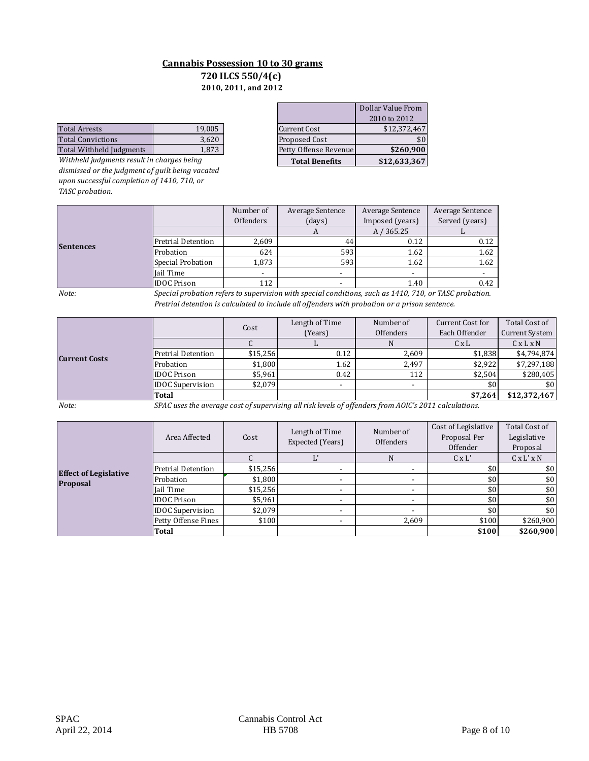#### **720 ILCS 550/4(c) Cannabis Possession 10 to 30 grams 2010, 2011, and 2012**

|                          |        |                       | 1010W1011    |
|--------------------------|--------|-----------------------|--------------|
| <b>Total Arrests</b>     | 19.005 | Current Cost          | \$12.372.467 |
| Total Convictions        | 3.620  | <b>Proposed Cost</b>  | \$0          |
| Total Withheld Iudgments | 1,873  | Petty Offense Revenue | \$260,900    |
|                          |        |                       |              |

*Withheld judgments result in charges being dismissed or the judgment of guilt being vacated upon successful completion of 1410, 710, or TASC probation.*

| 2010, 2011, and 2012                       |        |  |                       |                   |  |  |  |  |  |
|--------------------------------------------|--------|--|-----------------------|-------------------|--|--|--|--|--|
|                                            |        |  |                       | Dollar Value From |  |  |  |  |  |
|                                            |        |  |                       | 2010 to 2012      |  |  |  |  |  |
| Total Arrests                              | 19,005 |  | <b>Current Cost</b>   | \$12,372,467      |  |  |  |  |  |
| Total Convictions                          | 3,620  |  | Proposed Cost         | \$0 <sub>1</sub>  |  |  |  |  |  |
| Total Withheld Judgments                   | 1,873  |  | Petty Offense Revenue | \$260,900         |  |  |  |  |  |
| Withheld judgments result in charges being |        |  | <b>Total Benefits</b> | \$12,633,367      |  |  |  |  |  |

|           |                           | Number of<br>Offenders | Average Sentence<br>(days) | Average Sentence<br>Imposed (years) | Average Sentence<br>Served (years) |
|-----------|---------------------------|------------------------|----------------------------|-------------------------------------|------------------------------------|
|           |                           |                        | A                          | A / 365.25                          |                                    |
| Sentences | <b>Pretrial Detention</b> | 2,609                  | 44                         | 0.12                                | 0.12                               |
|           | Probation                 | 624                    | 593                        | 1.62                                | 1.62                               |
|           | Special Probation         | 1,873                  | 593                        | 1.62                                | 1.62                               |
|           | Jail Time                 |                        |                            |                                     |                                    |
|           | <b>IDOC Prison</b>        | 112                    |                            | 1.40                                | 0.42                               |

*Note:*

*Special probation refers to supervision with special conditions, such as 1410, 710, or TASC probation. Pretrial detention is calculated to include all offenders with probation or a prison sentence.*

|                      |                         | Cost     | Length of Time           | Number of | Current Cost for | Total Cost of         |
|----------------------|-------------------------|----------|--------------------------|-----------|------------------|-----------------------|
|                      |                         |          | (Years)                  | Offenders | Each Offender    | <b>Current System</b> |
|                      |                         |          |                          |           | $C \times L$     | $C \times L \times N$ |
| <b>Current Costs</b> | Pretrial Detention      | \$15,256 | 0.12                     | 2,609     | \$1,838          | \$4,794,874           |
|                      | Probation               | \$1.800  | 1.62                     | 2.497     | \$2.922          | \$7,297,188           |
|                      | <b>IDOC Prison</b>      | \$5,961  | 0.42                     | 112       | \$2,504          | \$280,405             |
|                      | <b>IDOC</b> Supervision | \$2,079  | $\overline{\phantom{a}}$ |           |                  | \$0                   |
|                      | <b>Total</b>            |          |                          |           | \$7,264          | \$12,372,467          |

*Note: SPAC uses the average cost of supervising all risk levels of offenders from AOIC's 2011 calculations.*

|                              | Area Affected           | Cost     | Length of Time<br>Expected (Years) | Number of<br><b>Offenders</b> | Cost of Legislative<br>Proposal Per<br>Offender | Total Cost of<br>Legislative<br>Proposal |
|------------------------------|-------------------------|----------|------------------------------------|-------------------------------|-------------------------------------------------|------------------------------------------|
|                              |                         |          |                                    | N                             | $C \times L'$                                   | $C \times L' \times N$                   |
| <b>Effect of Legislative</b> | Pretrial Detention      | \$15,256 | $\overline{\phantom{a}}$           |                               | \$0                                             | \$0                                      |
| <b>Proposal</b>              | Probation               | \$1,800  | ۰                                  | ۰                             | \$0                                             | \$0                                      |
|                              | Jail Time               | \$15,256 | $\overline{\phantom{a}}$           | ٠                             | \$0                                             | \$0                                      |
|                              | <b>IDOC</b> Prison      | \$5,961  | $\overline{\phantom{a}}$           |                               | \$0                                             | \$0                                      |
|                              | <b>IDOC</b> Supervision | \$2,079  | $\overline{\phantom{a}}$           | $\overline{\phantom{a}}$      | \$0                                             | \$0                                      |
|                              | Petty Offense Fines     | \$100    | $\overline{\phantom{a}}$           | 2,609                         | \$100                                           | \$260,900                                |
|                              | Total                   |          |                                    |                               | \$100                                           | \$260,900                                |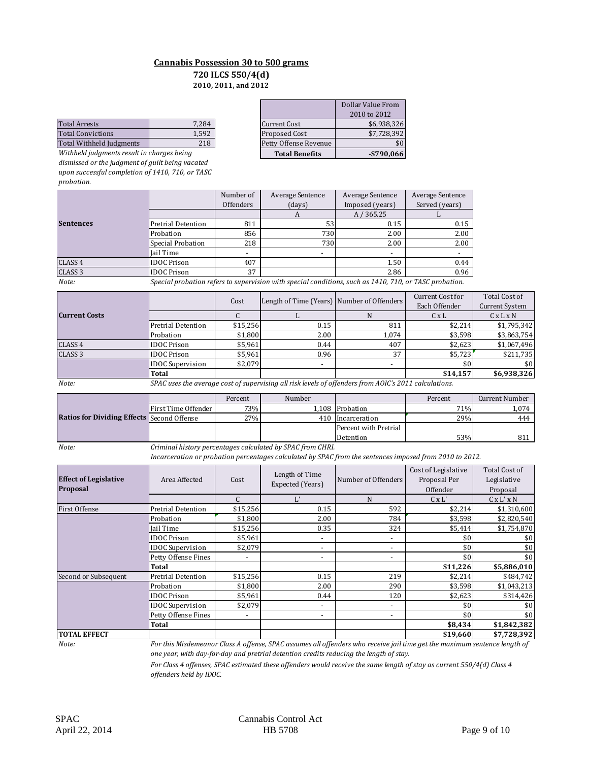#### **Cannabis Possession 30 to 500 grams 2010, 2011, and 2012 720 ILCS 550/4(d)**

| <b>Total Arrests</b>     | 7.284 | <b>Current Cost</b>  |                       | \$6.938.326 |
|--------------------------|-------|----------------------|-----------------------|-------------|
| <b>Total Convictions</b> | 1.592 | <b>Proposed Cost</b> |                       | \$7.728.392 |
| Total Withheld Judgments | 218   |                      | Petty Offense Revenue | \$0         |
|                          |       |                      |                       |             |

*Withheld judgments result in charges being dismissed or the judgment of guilt being vacated upon successful completion of 1410, 710, or TASC probation.*

|                                            |       |                       | Dollar Value From |
|--------------------------------------------|-------|-----------------------|-------------------|
|                                            |       |                       | 2010 to 2012      |
| <b>Total Arrests</b>                       | 7,284 | <b>Current Cost</b>   | \$6,938,326       |
| Total Convictions                          | 1,592 | <b>Proposed Cost</b>  | \$7,728,392       |
| Total Withheld Judgments                   | 218   | Petty Offense Revenue | \$0               |
| Withheld judgments result in charges being |       | <b>Total Benefits</b> | $-$ \$790,066     |

|                    |                    | Number of | Average Sentence                                                                                       | Average Sentence | <b>Average Sentence</b> |
|--------------------|--------------------|-----------|--------------------------------------------------------------------------------------------------------|------------------|-------------------------|
|                    |                    | Offenders | (days)                                                                                                 | Imposed (years)  | Served (years)          |
|                    |                    |           |                                                                                                        | A / 365.25       |                         |
| <b>Sentences</b>   | Pretrial Detention | 811       | 53                                                                                                     | 0.15             | 0.15                    |
|                    | Probation          | 856       | 730                                                                                                    | 2.00             | 2.00                    |
|                    | Special Probation  | 218       | 730                                                                                                    | 2.00             | 2.00                    |
|                    | Jail Time          |           | ۰                                                                                                      | -                |                         |
| CLASS 4            | <b>IDOC</b> Prison | 407       |                                                                                                        | 1.50             | 0.44                    |
| CLASS <sub>3</sub> | <b>IDOC</b> Prison | 37        |                                                                                                        | 2.86             | 0.96                    |
| Note:              |                    |           | Special probation refers to supervision with special conditions, such as 1410, 710, or TASC probation. |                  |                         |

|                      |                         | Cost     | Length of Time (Years) Number of Offenders |       | Current Cost for<br>Each Offender | Total Cost of<br><b>Current System</b> |
|----------------------|-------------------------|----------|--------------------------------------------|-------|-----------------------------------|----------------------------------------|
| <b>Current Costs</b> |                         |          |                                            |       | $C \times L$                      | $C \times L \times N$                  |
|                      | Pretrial Detention      | \$15,256 | 0.15                                       | 811   | \$2,214                           | \$1,795,342                            |
|                      | Probation               | \$1.800  | 2.00                                       | 1.074 | \$3,598                           | \$3,863,754                            |
| CLASS <sub>4</sub>   | <b>IDOC</b> Prison      | \$5,961  | 0.44                                       | 407   | \$2,623                           | \$1,067,496                            |
| CLASS <sub>3</sub>   | <b>IDOC</b> Prison      | \$5,961  | 0.96                                       | 37    | \$5,723                           | \$211,735                              |
|                      | <b>IDOC</b> Supervision | \$2.079  |                                            |       | \$0                               | \$0                                    |
|                      | Total                   |          |                                            |       | \$14,157                          | \$6,938,326                            |

*Note: SPAC uses the average cost of supervising all risk levels of offenders from AOIC's 2011 calculations.*

|                                                   |                       | Percent | Number                                                   |                       | Percent | Current Number  |
|---------------------------------------------------|-----------------------|---------|----------------------------------------------------------|-----------------------|---------|-----------------|
|                                                   | First Time Offender I | 73%1    |                                                          | 1.108 Probation       | 71%     | 1,074           |
| <b>Ratios for Dividing Effects Second Offense</b> |                       | 27%     |                                                          | 410 Incarceration     | 29%     | 444             |
|                                                   |                       |         |                                                          | Percent with Pretrial |         |                 |
|                                                   |                       |         |                                                          | Detention             | 53%     | 81 <sup>°</sup> |
| $N$ $\alpha$ to.                                  |                       |         | riminal history nexcentages salculated by CDAC from CUDI |                       |         |                 |

*Note: Criminal history percentages calculated by SPAC from CHRI.*

*Incarceration or probation percentages calculated by SPAC from the sentences imposed from 2010 to 2012.*

| <b>Effect of Legislative</b><br>Proposal | Area Affected                                                                                                             | Cost                     | Length of Time<br>Expected (Years) | Number of Offenders      | Cost of Legislative<br>Proposal Per<br>Offender | Total Cost of<br>Legislative<br>Proposal |
|------------------------------------------|---------------------------------------------------------------------------------------------------------------------------|--------------------------|------------------------------------|--------------------------|-------------------------------------------------|------------------------------------------|
|                                          |                                                                                                                           | C                        | $L^{\prime}$                       | N                        | $C \times L'$                                   | $C \times L' \times N$                   |
| <b>First Offense</b>                     | Pretrial Detention                                                                                                        | \$15,256                 | 0.15                               | 592                      | \$2,214                                         | \$1,310,600                              |
|                                          | Probation                                                                                                                 | \$1,800                  | 2.00                               | 784                      | \$3,598                                         | \$2,820,540                              |
|                                          | Iail Time                                                                                                                 | \$15,256                 | 0.35                               | 324                      | \$5,414                                         | \$1,754,870                              |
|                                          | <b>IDOC Prison</b>                                                                                                        | \$5,961                  | $\overline{\phantom{a}}$           | $\overline{\phantom{a}}$ | \$0                                             | \$0                                      |
|                                          | <b>IDOC</b> Supervision                                                                                                   | \$2,079                  | ٠                                  | $\overline{\phantom{a}}$ | \$0                                             | \$0                                      |
|                                          | Petty Offense Fines                                                                                                       |                          | $\overline{\phantom{a}}$           | $\overline{\phantom{a}}$ | \$0                                             | \$0                                      |
|                                          | Total                                                                                                                     |                          |                                    |                          | \$11,226                                        | \$5,886,010                              |
| Second or Subsequent                     | Pretrial Detention                                                                                                        | \$15,256                 | 0.15                               | 219                      | \$2,214                                         | \$484,742                                |
|                                          | Probation                                                                                                                 | \$1,800                  | 2.00                               | 290                      | \$3,598                                         | \$1,043,213                              |
|                                          | <b>IDOC Prison</b>                                                                                                        | \$5,961                  | 0.44                               | 120                      | \$2,623                                         | \$314,426                                |
|                                          | <b>IDOC Supervision</b>                                                                                                   | \$2,079                  | $\overline{\phantom{a}}$           | $\overline{\phantom{a}}$ | \$0                                             | \$0                                      |
|                                          | Petty Offense Fines                                                                                                       | $\overline{\phantom{a}}$ | ٠                                  | $\overline{\phantom{a}}$ | \$0                                             | \$0                                      |
|                                          | Total                                                                                                                     |                          |                                    |                          | \$8,434                                         | \$1,842,382                              |
| <b>TOTAL EFFECT</b>                      |                                                                                                                           |                          |                                    |                          | \$19,660                                        | \$7,728,392                              |
| Note:                                    | For this Misdemeanor Class A offense, SPAC assumes all offenders who receive jail time get the maximum sentence length of |                          |                                    |                          |                                                 |                                          |

*For this Misdemeanor Class A offense, SPAC assumes all offenders who receive jail time get the maximum sentence length of one year, with day-for-day and pretrial detention credits reducing the length of stay.*

*For Class 4 offenses, SPAC estimated these offenders would receive the same length of stay as current 550/4(d) Class 4 offenders held by IDOC.*